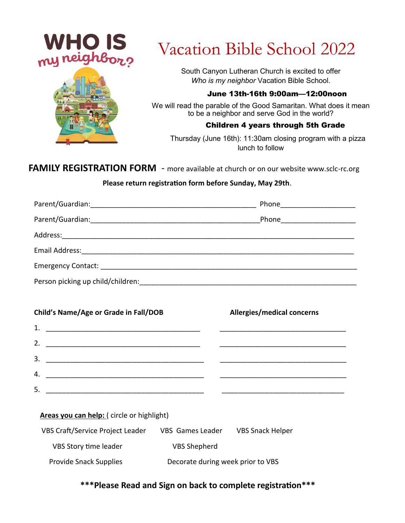



# Vacation Bible School 2022

South Canyon Lutheran Church is excited to offer *Who is my neighbor* Vacation Bible School.

#### June 13th-16th 9:00am—12:00noon

We will read the parable of the Good Samaritan. What does it mean to be a neighbor and serve God in the world?

#### Children 4 years through 5th Grade

 Thursday (June 16th): 11:30am closing program with a pizza lunch to follow

### **FAMILY REGISTRATION FORM** - more available at church or on our website www.sclc-rc.org

#### **Please return registration form before Sunday, May 29th**.

|                                                                                                                                                                                                                               | Phone <u>______________</u>   |
|-------------------------------------------------------------------------------------------------------------------------------------------------------------------------------------------------------------------------------|-------------------------------|
|                                                                                                                                                                                                                               | Phone <u>________________</u> |
| Address:                                                                                                                                                                                                                      |                               |
| Email Address: The Manuscripture of the Manuscripture of the Manuscripture of the Manuscripture of the Manuscripture of the Manuscripture of the Manuscripture of the Manuscripture of the Manuscripture of the Manuscripture |                               |
|                                                                                                                                                                                                                               |                               |
| Person picking up child/children:                                                                                                                                                                                             |                               |

| Child's Name/Age or Grade in Fall/DOB<br>Allergies/medical concerns                                                        |  |
|----------------------------------------------------------------------------------------------------------------------------|--|
|                                                                                                                            |  |
| 2.                                                                                                                         |  |
| 3.<br><u> 1980 - Jan James James Barnett, amerikan bizko bat da bat da bat da bat da bat da bat da bat da bat da bat d</u> |  |
| 4.                                                                                                                         |  |
| 5.                                                                                                                         |  |

#### **Areas you can help:** ( circle or highlight)

| <b>VBS Craft/Service Project Leader</b> | VBS Games Leader                  | <b>VBS Snack Helper</b> |
|-----------------------------------------|-----------------------------------|-------------------------|
| VBS Story time leader                   | <b>VBS Shepherd</b>               |                         |
| <b>Provide Snack Supplies</b>           | Decorate during week prior to VBS |                         |

#### **\*\*\*Please Read and Sign on back to complete registration\*\*\***